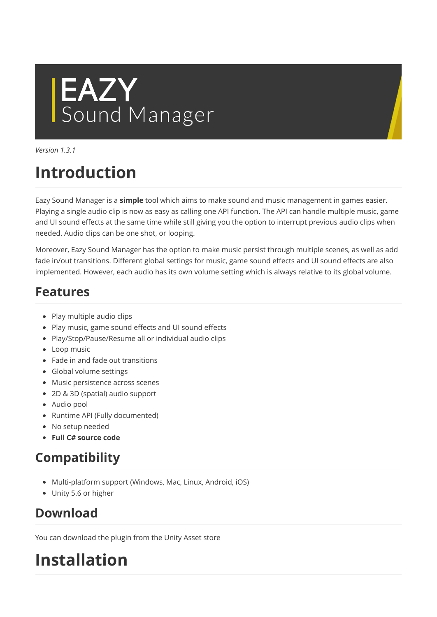# **EAZY**<br>Sound Manager

Version 1.3.1

# Introduction

Eazy Sound Manager is a simple tool which aims to make sound and music management in games easier. Playing a single audio clip is now as easy as calling one API function. The API can handle multiple music, game and UI sound effects at the same time while still giving you the option to interrupt previous audio clips when needed. Audio clips can be one shot, or looping.

Moreover, Eazy Sound Manager has the option to make music persist through multiple scenes, as well as add fade in/out transitions. Different global settings for music, game sound effects and UI sound effects are also implemented. However, each audio has its own volume setting which is always relative to its global volume.

## Features

- Play multiple audio clips
- Play music, game sound effects and UI sound effects
- Play/Stop/Pause/Resume all or individual audio clips
- Loop music
- Fade in and fade out transitions
- Global volume settings
- Music persistence across scenes
- 2D & 3D (spatial) audio support
- Audio pool
- Runtime API (Fully documented)
- No setup needed
- Full C# source code

## Compatibility

- Multi-platform support (Windows, Mac, Linux, Android, iOS)
- Unity 5.6 or higher

## Download

You can download the plugin from the Unity Asset store

# Installation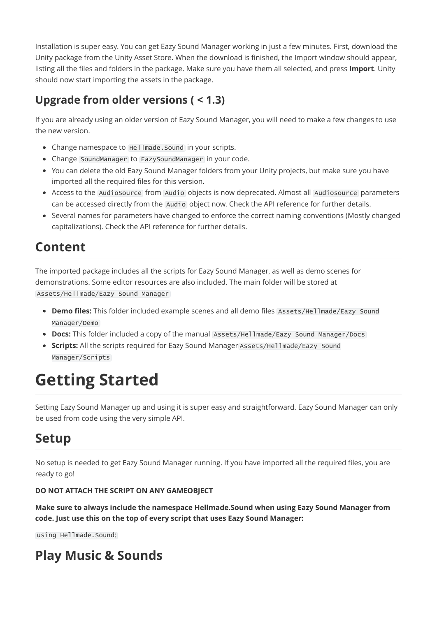Installation is super easy. You can get Eazy Sound Manager working in just a few minutes. First, download the Unity package from the Unity Asset Store. When the download is finished, the Import window should appear, listing all the files and folders in the package. Make sure you have them all selected, and press Import. Unity should now start importing the assets in the package.

#### Upgrade from older versions ( < 1.3)

If you are already using an older version of Eazy Sound Manager, you will need to make a few changes to use the new version.

- Change namespace to Hellmade. Sound in your scripts.
- Change SoundManager to EazySoundManager in your code.
- You can delete the old Eazy Sound Manager folders from your Unity projects, but make sure you have imported all the required files for this version.
- Access to the AudioSource from Audio objects is now deprecated. Almost all Audiosource parameters can be accessed directly from the Audio object now. Check the API reference for further details.
- Several names for parameters have changed to enforce the correct naming conventions (Mostly changed capitalizations). Check the API reference for further details.

## Content

The imported package includes all the scripts for Eazy Sound Manager, as well as demo scenes for demonstrations. Some editor resources are also included. The main folder will be stored at Assets/Hellmade/Eazy Sound Manager

- Demo files: This folder included example scenes and all demo files Assets/Hellmade/Eazy Sound Manager/Demo
- Docs: This folder included a copy of the manual Assets/Hellmade/Eazy Sound Manager/Docs
- Scripts: All the scripts required for Eazy Sound Manager Assets/Hellmade/Eazy Sound Manager/Scripts

# Getting Started

Setting Eazy Sound Manager up and using it is super easy and straightforward. Eazy Sound Manager can only be used from code using the very simple API.

### Setup

No setup is needed to get Eazy Sound Manager running. If you have imported all the required files, you are ready to go!

#### DO NOT ATTACH THE SCRIPT ON ANY GAMEOBJECT

Make sure to always include the namespace Hellmade.Sound when using Eazy Sound Manager from code. Just use this on the top of every script that uses Eazy Sound Manager:

using Hellmade.Sound;

## Play Music & Sounds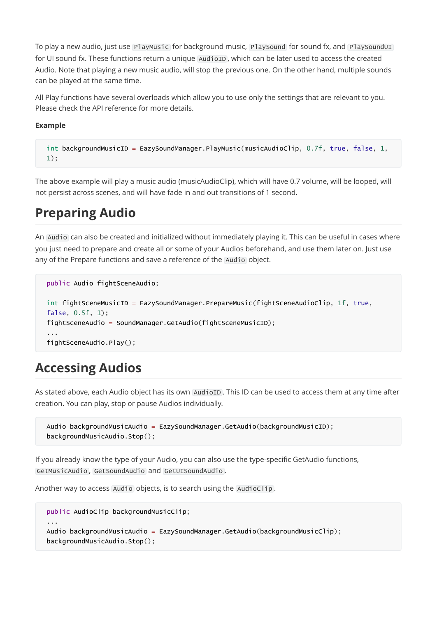To play a new audio, just use PlayMusic for background music, PlaySound for sound fx, and PlaySoundUI for UI sound fx. These functions return a unique AudioID, which can be later used to access the created Audio. Note that playing a new music audio, will stop the previous one. On the other hand, multiple sounds can be played at the same time.

All Play functions have several overloads which allow you to use only the settings that are relevant to you. Please check the API reference for more details.

#### Example

```
int backgroundMusicID = EazySoundManager.PlayMusic(musicAudioClip, 0.7f, true, false, 1,
1);
```
The above example will play a music audio (musicAudioClip), which will have 0.7 volume, will be looped, will not persist across scenes, and will have fade in and out transitions of 1 second.

#### Preparing Audio

An Audio can also be created and initialized without immediately playing it. This can be useful in cases where you just need to prepare and create all or some of your Audios beforehand, and use them later on. Just use any of the Prepare functions and save a reference of the Audio object.

```
public Audio fightSceneAudio;
int fightSceneMusicID = EazySoundManager.PrepareMusic(fightSceneAudioClip, 1f, true,
false, 0.5f, 1);
fightSceneAudio = SoundManager.GetAudio(fightSceneMusicID);
...
fightSceneAudio.Play();
```
#### Accessing Audios

As stated above, each Audio object has its own AudioID . This ID can be used to access them at any time after creation. You can play, stop or pause Audios individually.

```
Audio backgroundMusicAudio = EazySoundManager.GetAudio(backgroundMusicID);
backgroundMusicAudio.Stop();
```
If you already know the type of your Audio, you can also use the type-specific GetAudio functions, GetMusicAudio , GetSoundAudio and GetUISoundAudio .

Another way to access Audio objects, is to search using the AudioClip.

```
public AudioClip backgroundMusicClip;
...
Audio backgroundMusicAudio = EazySoundManager.GetAudio(backgroundMusicClip);
backgroundMusicAudio.Stop();
```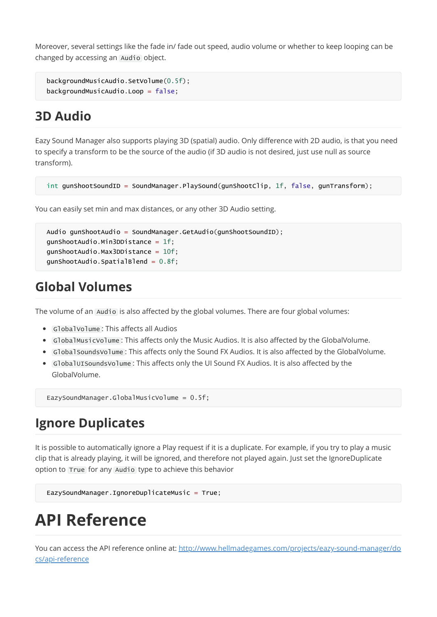Moreover, several settings like the fade in/ fade out speed, audio volume or whether to keep looping can be changed by accessing an Audio object.

```
backgroundMusicAudio.SetVolume(0.5f);
backgroundMusicAudio.Loop = false;
```
#### 3D Audio

Eazy Sound Manager also supports playing 3D (spatial) audio. Only difference with 2D audio, is that you need to specify a transform to be the source of the audio (if 3D audio is not desired, just use null as source transform).

```
int gunShootSoundID = SoundManager.PlaySound(gunShootClip, 1f, false, gunTransform);
```
You can easily set min and max distances, or any other 3D Audio setting.

```
Audio gunShootAudio = SoundManager.GetAudio(gunShootSoundID);
qunShootAudio.Min3DDistance = 1f;
gunShootAudio.Max3DDistance = 10f;
gunShootAudio.SpatialBlend = 0.8f;
```
#### Global Volumes

The volume of an Audio is also affected by the global volumes. There are four global volumes:

- GlobalVolume : This affects all Audios
- GlobalMusicVolume : This affects only the Music Audios. It is also affected by the GlobalVolume.
- GlobalSoundsVolume : This affects only the Sound FX Audios. It is also affected by the GlobalVolume.
- GlobalUISoundsVolume : This affects only the UI Sound FX Audios. It is also affected by the GlobalVolume.

EazySoundManager.GlobalMusicVolume = 0.5f;

#### Ignore Duplicates

It is possible to automatically ignore a Play request if it is a duplicate. For example, if you try to play a music clip that is already playing, it will be ignored, and therefore not played again. Just set the IgnoreDuplicate option to True for any Audio type to achieve this behavior

```
EazySoundManager.IgnoreDuplicateMusic = True;
```
## API Reference

[You can access the API reference online at: http://www.hellmadegames.com/projects/eazy-sound-manager/do](http://www.hellmadegames.com/projects/eazy-sound-manager/docs/api-reference) cs/api-reference